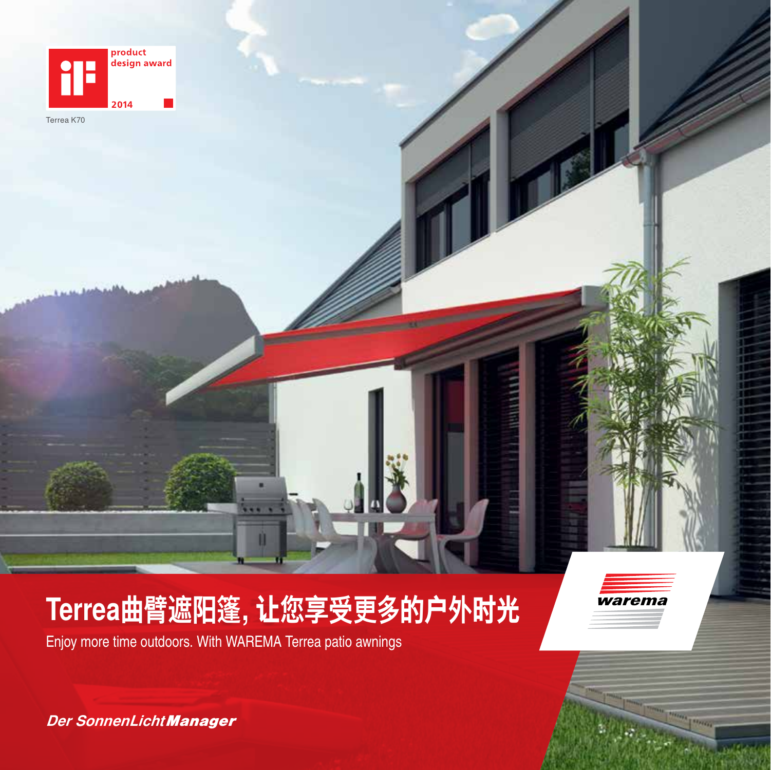

Terrea K70

# **Terrea曲臂遮阳篷,让您享受更多的户外时光**

Enjoy more time outdoors. With WAREMA Terrea patio awnings



*Der SonnenLicht Manager*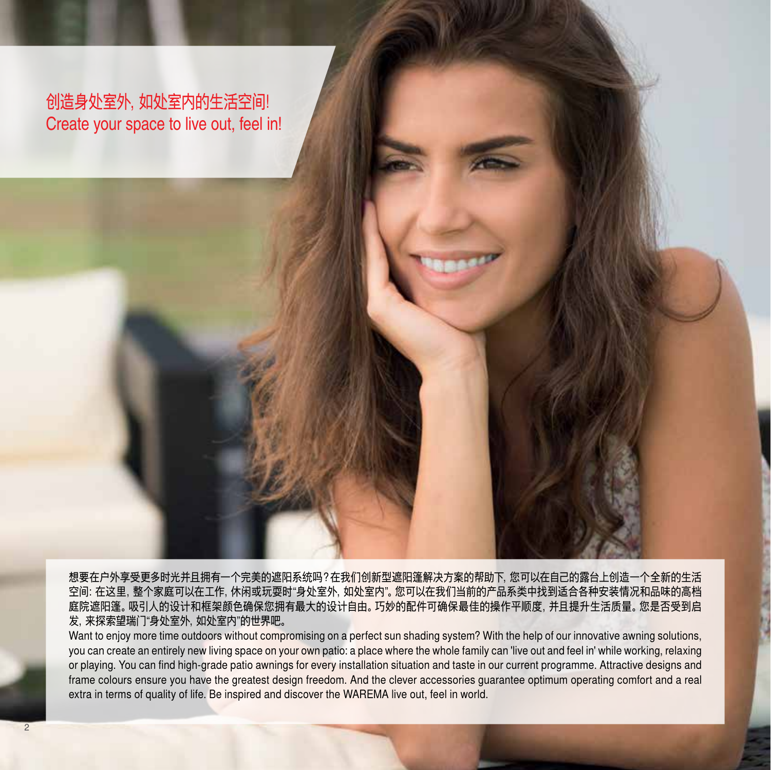创造身处室外,如处室内的生活空间! Create your space to live out, feel in!

想要在户外享受更多时光并且拥有一个完美的遮阳系统吗?在我们创新型遮阳篷解决方案的帮助下,您可以在自己的露台上创造一个全新的生活 空间:在这里,整个家庭可以在工作,休闲或玩耍时"身处室外,如处室内"。您可以在我们当前的产品系类中找到适合各种安装情况和品味的高档 庭院遮阳篷。吸引人的设计和框架颜色确保您拥有最大的设计自由。巧妙的配件可确保最佳的操作平顺度,并且提升生活质量。您是否受到启 发,来探索望瑞门"身处室外,如处室内"的世界吧。

Want to enjoy more time outdoors without compromising on a perfect sun shading system? With the help of our innovative awning solutions, you can create an entirely new living space on your own patio: a place where the whole family can 'live out and feel in' while working, relaxing or playing. You can find high-grade patio awnings for every installation situation and taste in our current programme. Attractive designs and frame colours ensure you have the greatest design freedom. And the clever accessories guarantee optimum operating comfort and a real extra in terms of quality of life. Be inspired and discover the WAREMA live out, feel in world.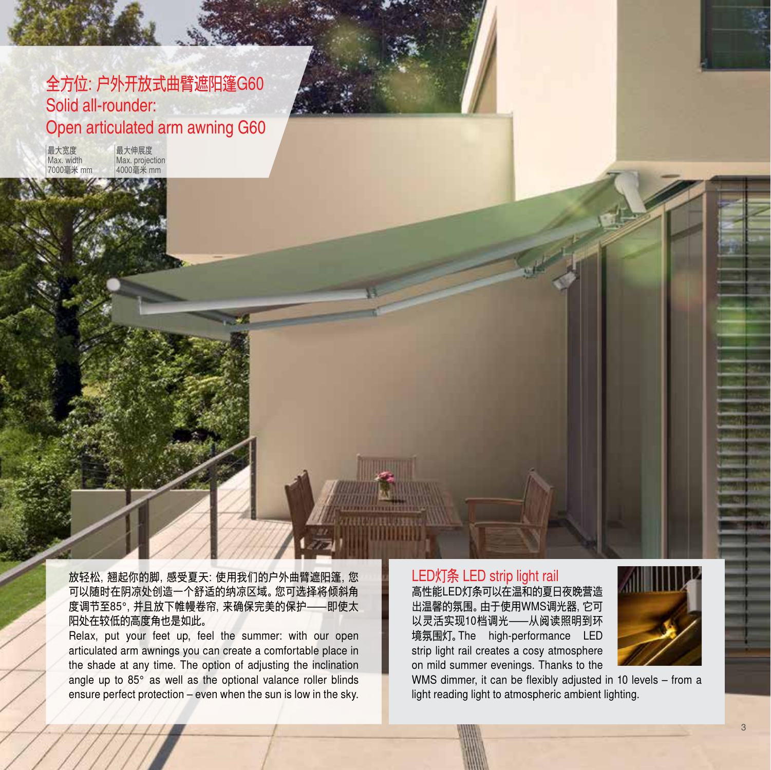## 全方位:户外开放式曲臂遮阳篷G60 Solid all-rounder: Open articulated arm awning G60

最大宽度 Max. width 7000毫米 mm

最大伸展度 Max. projection 4000毫米 mm

放轻松,翘起你的脚,感受夏天:使用我们的户外曲臂遮阳篷,您 可以随时在阴凉处创造一个舒适的纳凉区域。您可选择将倾斜角 度调节至85°,并且放下帷幔卷帘,来确保完美的保护—即使太 阳处在较低的高度角也是如此。

Relax, put your feet up, feel the summer: with our open articulated arm awnings you can create a comfortable place in the shade at any time. The option of adjusting the inclination angle up to 85° as well as the optional valance roller blinds ensure perfect protection – even when the sun is low in the sky.

#### LED灯条 LED strip light rail 高性能LED灯条可以在温和的夏日夜晚营造 出温馨的氛围。由于使用WMS调光器,它可 以灵活实现10档调光—从阅读照明到环 境氛围灯。The high-performance LED strip light rail creates a cosy atmosphere

on mild summer evenings. Thanks to the



WMS dimmer, it can be flexibly adjusted in 10 levels – from a light reading light to atmospheric ambient lighting.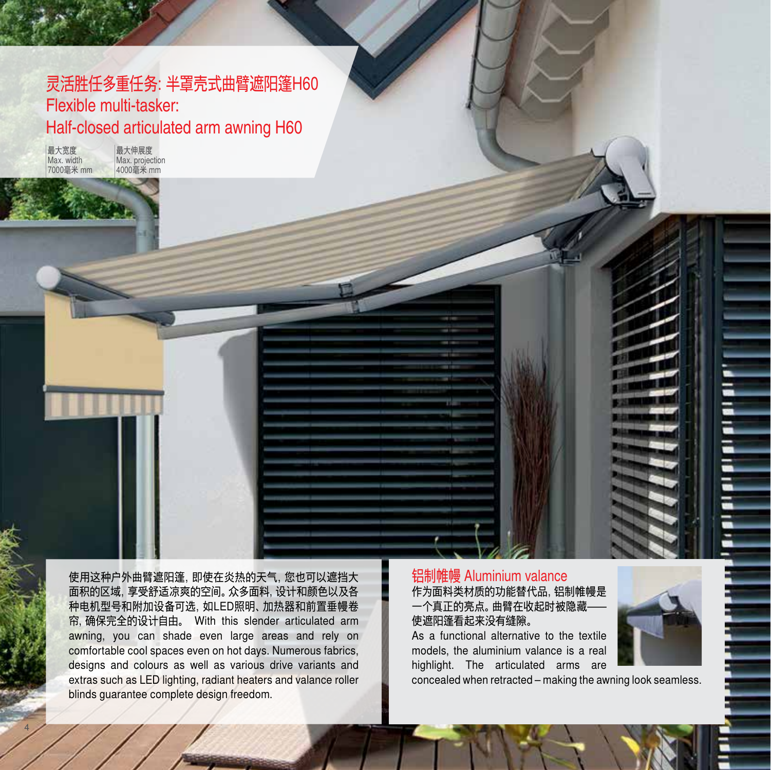## 灵活胜任多重任务:半罩壳式曲臂遮阳篷H60 Flexible multi-tasker: Half-closed articulated arm awning H60

最大宽度 Max. width 7000毫米 mm

4

最大伸展度 Max. projection 4000毫米 mm

使用这种户外曲臂遮阳篷,即使在炎热的天气,您也可以遮挡大 面积的区域,享受舒适凉爽的空间。众多面料,设计和颜色以及各 种电机型号和附加设备可选,如LED照明、加热器和前置垂幔卷 帘,确保完全的设计自由。 With this slender articulated arm awning, you can shade even large areas and rely on comfortable cool spaces even on hot days. Numerous fabrics, designs and colours as well as various drive variants and extras such as LED lighting, radiant heaters and valance roller blinds guarantee complete design freedom.

#### 铝制帷幔 Aluminium valance 作为面料类材质的功能替代品,铝制帷幔是 一个真正的亮点。曲臂在收起时被隐藏— 使遮阳篷看起来没有缝隙。

As a functional alternative to the textile models, the aluminium valance is a real highlight. The articulated arms are



concealed when retracted – making the awning look seamless.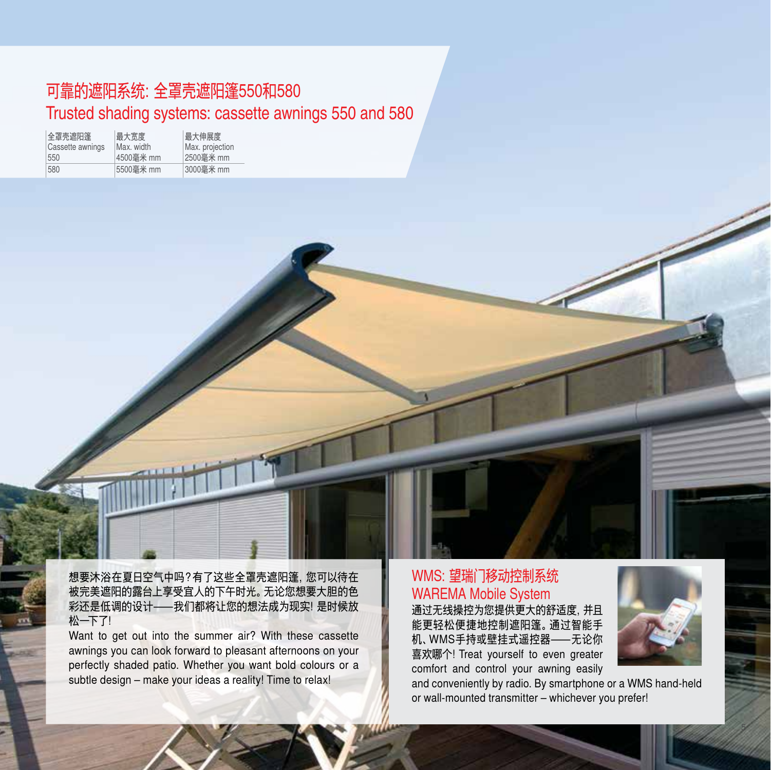## 可靠的遮阳系统:全罩壳遮阳篷550和580 Trusted shading systems: cassette awnings 550 and 580

| 全罩壳遮阳篷<br>Cassette awnings | 最大宽度<br>Max. width | 最大伸展度<br>Max. projection |
|----------------------------|--------------------|--------------------------|
| 550                        | 4500毫米 mm          | 2500毫米 mm                |
| 580                        | 5500毫米 mm          | 3000毫米 mm                |

想要沐浴在夏日空气中吗?有了这些全罩壳遮阳篷,您可以待在 被完美遮阳的露台上享受宜人的下午时光。无论您想要大胆的色 彩还是低调的设计––我们都将让您的想法成为现实!是时候放 松一下了!

Want to get out into the summer air? With these cassette awnings you can look forward to pleasant afternoons on your perfectly shaded patio. Whether you want bold colours or a subtle design – make your ideas a reality! Time to relax!

### WMS:望瑞门移动控制系统 WAREMA Mobile System

通过无线操控为您提供更大的舒适度,并且 能更轻松便捷地控制遮阳篷。通过智能手 机、WMS手持或壁挂式遥控器—无论你 喜欢哪个!Treat yourself to even greater comfort and control your awning easily



and conveniently by radio. By smartphone or a WMS hand-held or wall-mounted transmitter – whichever you prefer!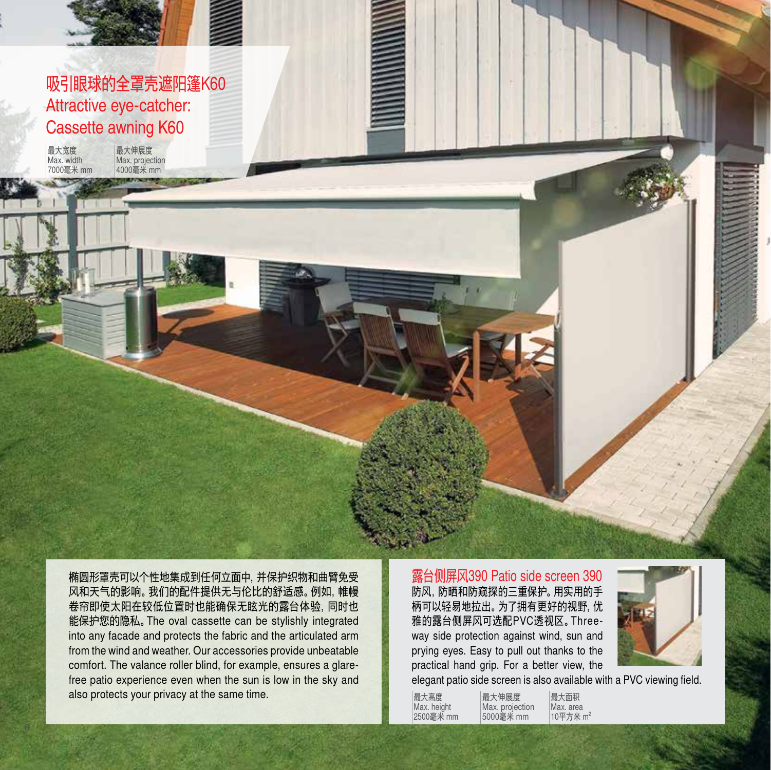## 吸引眼球的全罩壳遮阳篷K60 Attractive eye-catcher: Cassette awning K60

最大伸展度 Max. projection 4000毫米 mm

最大宽度 Max. width 7000毫米 mm

> 椭圆形罩壳可以个性地集成到任何立面中,并保护织物和曲臂免受 风和天气的影响。我们的配件提供无与伦比的舒适感。例如,帷幔 卷帘即使太阳在较低位置时也能确保无眩光的露台体验,同时也 能保护您的隐私。The oval cassette can be stylishly integrated into any facade and protects the fabric and the articulated arm from the wind and weather. Our accessories provide unbeatable comfort. The valance roller blind, for example, ensures a glarefree patio experience even when the sun is low in the sky and also protects your privacy at the same time.

露台侧屏风390 Patio side screen 390 防风,防晒和防窥探的三重保护。用实用的手 柄可以轻易地拉出。为了拥有更好的视野,优 雅的露台侧屏风可选配PVC透视区。Threeway side protection against wind, sun and prying eyes. Easy to pull out thanks to the practical hand grip. For a better view, the

最大伸展度



elegant patio side screen is also available with a PVC viewing field.

最大高度 Max. height 2500毫米 mm Max. projection 5000毫米 mm

Max. area

最大面积  $10$ 平方米 m<sup>2</sup>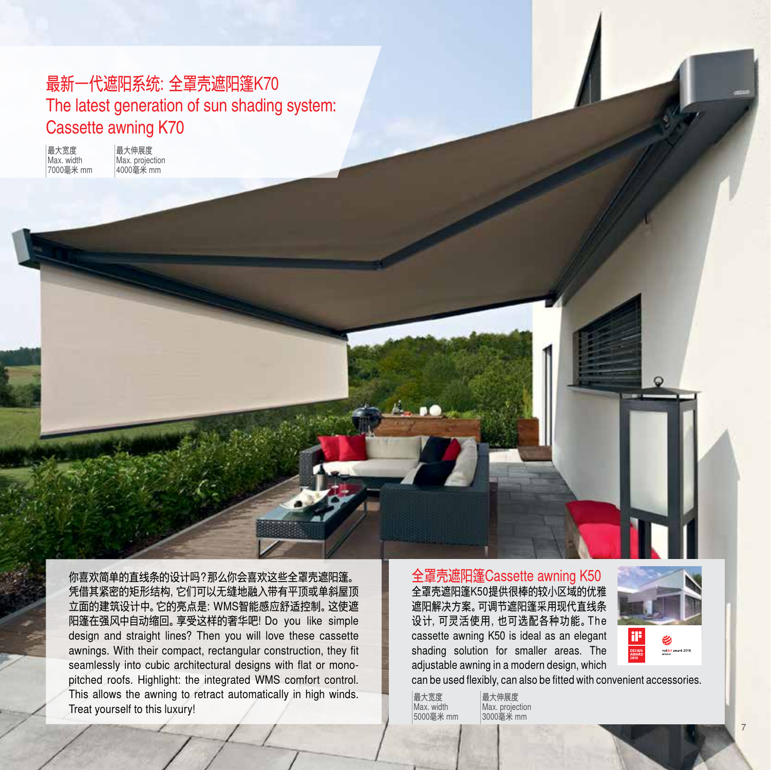## 最新一代遮阳系统:全罩壳遮阳篷K70 The latest generation of sun shading system: Cassette awning K70

最大宽度 Max. width 7000毫米 mm 最大伸展度 Max. projection 4000毫米 mm

你喜欢简单的直线条的设计吗?那么你会喜欢这些全罩壳遮阳篷。 凭借其紧密的矩形结构,它们可以无缝地融入带有平顶或单斜屋顶 立面的建筑设计中。它的亮点是:WMS智能感应舒适控制。这使遮 阳篷在强风中自动缩回。享受这样的奢华吧!Do you like simple design and straight lines? Then you will love these cassette awnings. With their compact, rectangular construction, they fit seamlessly into cubic architectural designs with flat or monopitched roofs. Highlight: the integrated WMS comfort control. This allows the awning to retract automatically in high winds. Treat yourself to this luxury!

全罩壳遮阳篷Cassette awning K50 全罩壳遮阳篷K50提供很棒的较小区域的优雅 遮阳解决方案。可调节遮阳篷采用现代直线条 设计,可灵活使用,也可选配各种功能。The cassette awning K50 is ideal as an elegant shading solution for smaller areas. The adjustable awning in a modern design, which



can be used flexibly, can also be fitted with convenient accessories.

最大宽度 Max. width 5000毫米 mm

最大伸展度 Max. projection 3000毫米 mm

7